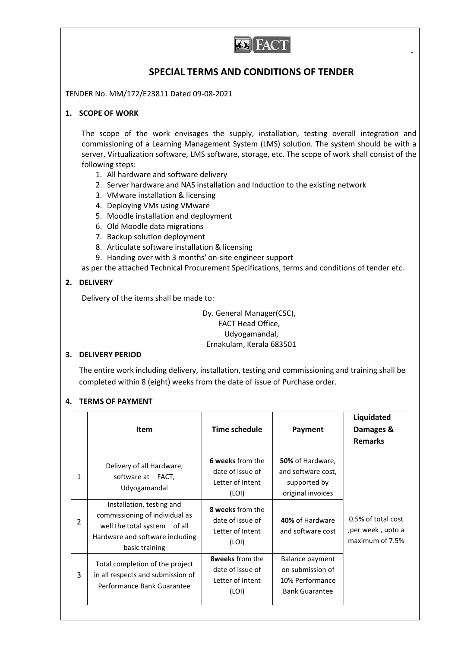

# **SPECIAL TERMS AND CONDITIONS OF TENDER**

TENDER No. MM/172/E23811 Dated 09-08-2021

# **1. SCOPE OF WORK**

The scope of the work envisages the supply, installation, testing overall integration and commissioning of a Learning Management System (LMS) solution. The system should be with a server, Virtualization software, LMS software, storage, etc. The scope of work shall consist of the following steps:

- 1. All hardware and software delivery
- 2. Server hardware and NAS installation and Induction to the existing network
- 3. VMware installation & licensing
- 4. Deploying VMs using VMware
- 5. Moodle installation and deployment
- 6. Old Moodle data migrations
- 7. Backup solution deployment
- 8. Articulate software installation & licensing
- 9. Handing over with 3 months' on-site engineer support

as per the attached Technical Procurement Specifications, terms and conditions of tender etc.

# **2. DELIVERY**

Delivery of the items shall be made to:

Dy. General Manager(CSC), FACT Head Office, Udyogamandal, Ernakulam, Kerala 683501

### **3. DELIVERY PERIOD**

The entire work including delivery, installation, testing and commissioning and training shall be completed within 8 (eight) weeks from the date of issue of Purchase order.

### **4. TERMS OF PAYMENT**

|                |                                                                                                                                                  |                                                                         |                                                                                 | Liquidated                                                  |
|----------------|--------------------------------------------------------------------------------------------------------------------------------------------------|-------------------------------------------------------------------------|---------------------------------------------------------------------------------|-------------------------------------------------------------|
|                | <b>Item</b>                                                                                                                                      | Time schedule                                                           | Payment                                                                         | Damages &                                                   |
|                |                                                                                                                                                  |                                                                         |                                                                                 | <b>Remarks</b>                                              |
| 1              | Delivery of all Hardware,<br>software at FACT,<br>Udyogamandal                                                                                   | 6 weeks from the<br>date of issue of<br>Letter of Intent                | 50% of Hardware,<br>and software cost,<br>supported by                          |                                                             |
|                |                                                                                                                                                  | (LOI)                                                                   | original invoices                                                               |                                                             |
| $\overline{2}$ | Installation, testing and<br>commissioning of individual as<br>well the total system of all<br>Hardware and software including<br>basic training | 8 weeks from the<br>date of issue of<br>Letter of Intent<br>(LOI)       | 40% of Hardware<br>and software cost                                            | 0.5% of total cost<br>, per week, upto a<br>maximum of 7.5% |
| 3              | Total completion of the project<br>in all respects and submission of<br>Performance Bank Guarantee                                               | <b>8weeks</b> from the<br>date of issue of<br>Letter of Intent<br>(LOI) | Balance payment<br>on submission of<br>10% Performance<br><b>Bank Guarantee</b> |                                                             |